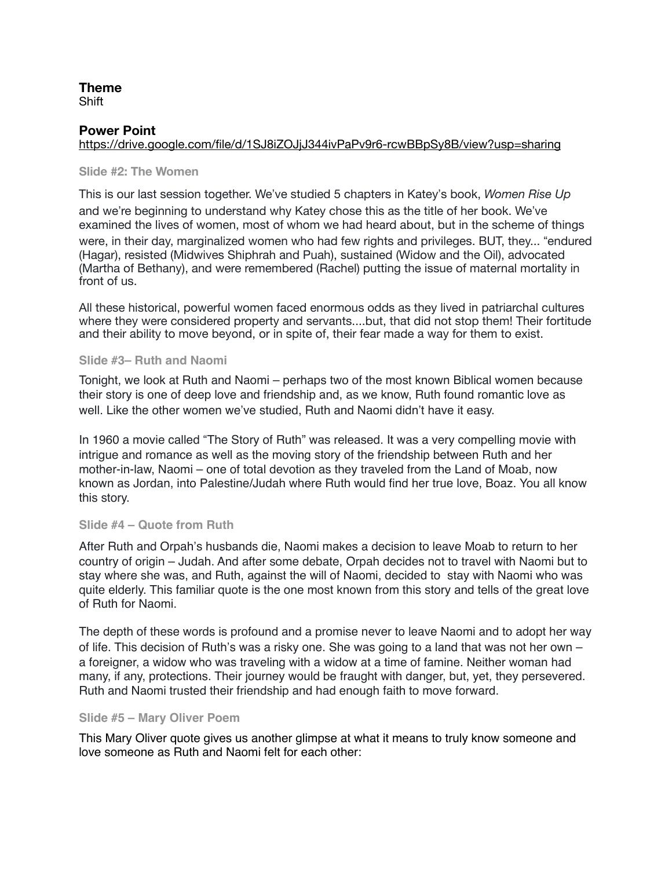#### **Theme**  Shift

### **Power Point**

### <https://drive.google.com/file/d/1SJ8iZOJjJ344ivPaPv9r6-rcwBBpSy8B/view?usp=sharing>

#### **Slide #2: The Women**

This is our last session together. We've studied 5 chapters in Katey's book, *Women Rise Up* and we're beginning to understand why Katey chose this as the title of her book. We've examined the lives of women, most of whom we had heard about, but in the scheme of things were, in their day, marginalized women who had few rights and privileges. BUT, they... "endured (Hagar), resisted (Midwives Shiphrah and Puah), sustained (Widow and the Oil), advocated (Martha of Bethany), and were remembered (Rachel) putting the issue of maternal mortality in front of us.

All these historical, powerful women faced enormous odds as they lived in patriarchal cultures where they were considered property and servants....but, that did not stop them! Their fortitude and their ability to move beyond, or in spite of, their fear made a way for them to exist.

#### **Slide #3– Ruth and Naomi**

Tonight, we look at Ruth and Naomi – perhaps two of the most known Biblical women because their story is one of deep love and friendship and, as we know, Ruth found romantic love as well. Like the other women we've studied, Ruth and Naomi didn't have it easy.

In 1960 a movie called "The Story of Ruth" was released. It was a very compelling movie with intrigue and romance as well as the moving story of the friendship between Ruth and her mother-in-law, Naomi – one of total devotion as they traveled from the Land of Moab, now known as Jordan, into Palestine/Judah where Ruth would find her true love, Boaz. You all know this story.

### **Slide #4 – Quote from Ruth**

After Ruth and Orpah's husbands die, Naomi makes a decision to leave Moab to return to her country of origin – Judah. And after some debate, Orpah decides not to travel with Naomi but to stay where she was, and Ruth, against the will of Naomi, decided to stay with Naomi who was quite elderly. This familiar quote is the one most known from this story and tells of the great love of Ruth for Naomi.

The depth of these words is profound and a promise never to leave Naomi and to adopt her way of life. This decision of Ruth's was a risky one. She was going to a land that was not her own  $$ a foreigner, a widow who was traveling with a widow at a time of famine. Neither woman had many, if any, protections. Their journey would be fraught with danger, but, yet, they persevered. Ruth and Naomi trusted their friendship and had enough faith to move forward.

#### **Slide #5 – Mary Oliver Poem**

This Mary Oliver quote gives us another glimpse at what it means to truly know someone and love someone as Ruth and Naomi felt for each other: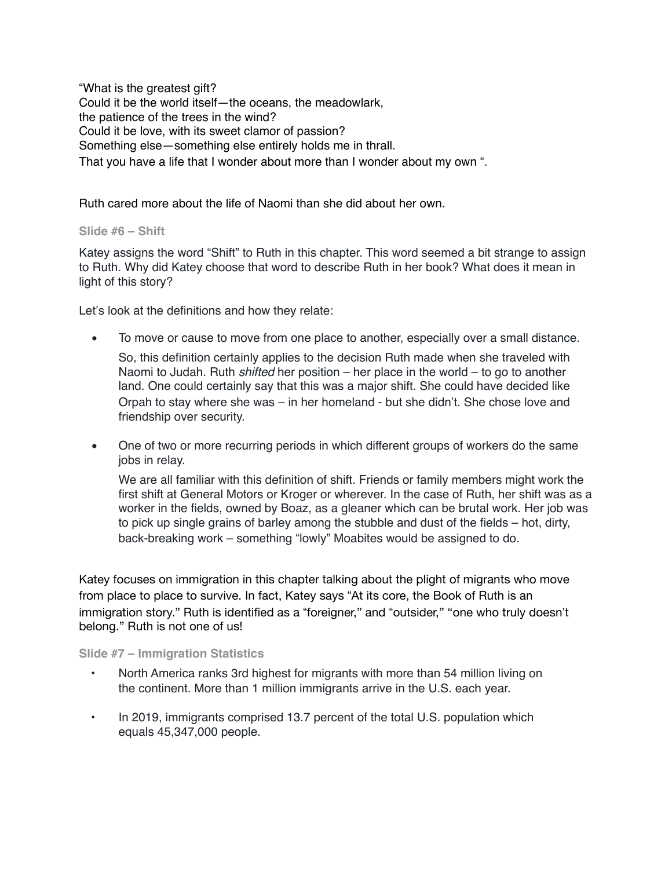"What is the greatest gift? Could it be the world itself—the oceans, the meadowlark, the patience of the trees in the wind? Could it be love, with its sweet clamor of passion? Something else—something else entirely holds me in thrall. That you have a life that I wonder about more than I wonder about my own ".

Ruth cared more about the life of Naomi than she did about her own.

### **Slide #6 – Shift**

Katey assigns the word "Shift" to Ruth in this chapter. This word seemed a bit strange to assign to Ruth. Why did Katey choose that word to describe Ruth in her book? What does it mean in light of this story?

Let's look at the definitions and how they relate:

• To move or cause to move from one place to another, especially over a small distance.

So, this definition certainly applies to the decision Ruth made when she traveled with Naomi to Judah. Ruth *shifted* her position – her place in the world – to go to another land. One could certainly say that this was a major shift. She could have decided like Orpah to stay where she was  $-$  in her homeland  $-$  but she didn't. She chose love and friendship over security.

• One of two or more recurring periods in which different groups of workers do the same jobs in relay.

We are all familiar with this definition of shift. Friends or family members might work the first shift at General Motors or Kroger or wherever. In the case of Ruth, her shift was as a worker in the fields, owned by Boaz, as a gleaner which can be brutal work. Her job was to pick up single grains of barley among the stubble and dust of the fields – hot, dirty, back-breaking work – something "lowly" Moabites would be assigned to do.

Katey focuses on immigration in this chapter talking about the plight of migrants who move from place to place to survive. In fact, Katey says "At its core, the Book of Ruth is an immigration story." Ruth is identified as a "foreigner," and "outsider," "one who truly doesn't belong." Ruth is not one of us!

### **Slide #7 – Immigration Statistics**

- North America ranks 3rd highest for migrants with more than 54 million living on the continent. More than 1 million immigrants arrive in the U.S. each year.
- In 2019, immigrants comprised 13.7 percent of the total U.S. population which equals 45,347,000 people.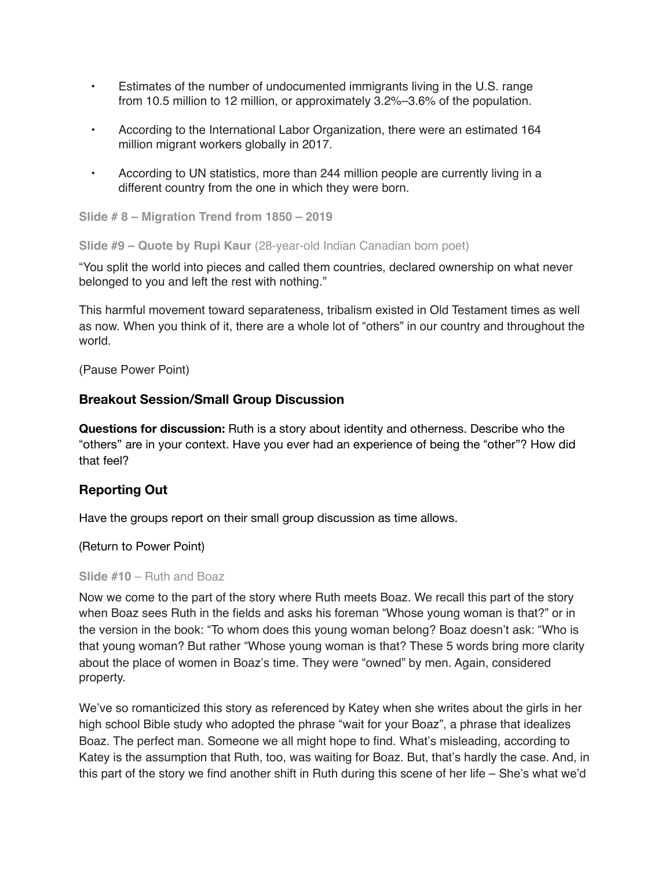- Estimates of the number of undocumented immigrants living in the U.S. range from 10.5 million to 12 million, or approximately 3.2%–3.6% of the population.
- According to the International Labor Organization, there were an estimated 164 million migrant workers globally in 2017.
- According to UN statistics, more than 244 million people are currently living in a different country from the one in which they were born.

**Slide # 8 – Migration Trend from 1850 – 2019**

**Slide #9 – Quote by Rupi Kaur** (28-year-old Indian Canadian born poet)

"You split the world into pieces and called them countries, declared ownership on what never belonged to you and left the rest with nothing."

This harmful movement toward separateness, tribalism existed in Old Testament times as well as now. When you think of it, there are a whole lot of "others" in our country and throughout the world.

(Pause Power Point)

# **Breakout Session/Small Group Discussion**

**Questions for discussion:** Ruth is a story about identity and otherness. Describe who the "others" are in your context. Have you ever had an experience of being the "other"? How did that feel?

## **Reporting Out**

Have the groups report on their small group discussion as time allows.

(Return to Power Point)

### **Slide #10** – Ruth and Boaz

Now we come to the part of the story where Ruth meets Boaz. We recall this part of the story when Boaz sees Ruth in the fields and asks his foreman "Whose young woman is that?" or in the version in the book: "To whom does this young woman belong? Boaz doesn't ask: "Who is that young woman? But rather "Whose young woman is that? These 5 words bring more clarity about the place of women in Boaz's time. They were "owned" by men. Again, considered property.

We've so romanticized this story as referenced by Katey when she writes about the girls in her high school Bible study who adopted the phrase "wait for your Boaz", a phrase that idealizes Boaz. The perfect man. Someone we all might hope to find. What's misleading, according to Katey is the assumption that Ruth, too, was waiting for Boaz. But, that's hardly the case. And, in this part of the story we find another shift in Ruth during this scene of her life  $-$  She's what we'd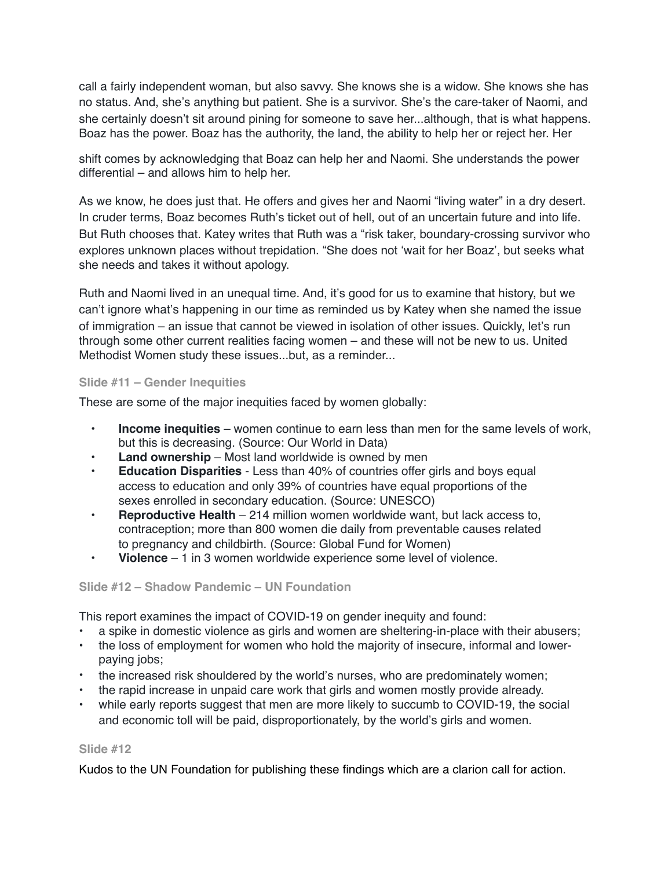call a fairly independent woman, but also savvy. She knows she is a widow. She knows she has no status. And, she's anything but patient. She is a survivor. She's the care-taker of Naomi, and she certainly doesn't sit around pining for someone to save her...although, that is what happens. Boaz has the power. Boaz has the authority, the land, the ability to help her or reject her. Her

shift comes by acknowledging that Boaz can help her and Naomi. She understands the power differential – and allows him to help her.

As we know, he does just that. He offers and gives her and Naomi "living water" in a dry desert. In cruder terms, Boaz becomes Ruth's ticket out of hell, out of an uncertain future and into life. But Ruth chooses that. Katey writes that Ruth was a "risk taker, boundary-crossing survivor who explores unknown places without trepidation. "She does not 'wait for her Boaz', but seeks what she needs and takes it without apology.

Ruth and Naomi lived in an unequal time. And, it's good for us to examine that history, but we can't ignore what's happening in our time as reminded us by Katey when she named the issue of immigration – an issue that cannot be viewed in isolation of other issues. Quickly, let's run through some other current realities facing women – and these will not be new to us. United Methodist Women study these issues...but, as a reminder...

## **Slide #11 – Gender Inequities**

These are some of the major inequities faced by women globally:

- **• Income inequities**  women continue to earn less than men for the same levels of work, but this is decreasing. (Source: Our World in Data)
- **• Land ownership**  Most land worldwide is owned by men
- **• Education Disparities**  Less than 40% of countries offer girls and boys equal access to education and only 39% of countries have equal proportions of the sexes enrolled in secondary education. (Source: UNESCO)
- **• Reproductive Health**  214 million women worldwide want, but lack access to, contraception; more than 800 women die daily from preventable causes related to pregnancy and childbirth. (Source: Global Fund for Women)
- **• Violence**  1 in 3 women worldwide experience some level of violence.

## **Slide #12 – Shadow Pandemic – UN Foundation**

This report examines the impact of COVID-19 on gender inequity and found:

- a spike in domestic violence as girls and women are sheltering-in-place with their abusers;
- the loss of employment for women who hold the majority of insecure, informal and lowerpaying jobs;
- the increased risk shouldered by the world's nurses, who are predominately women;
- the rapid increase in unpaid care work that girls and women mostly provide already.
- while early reports suggest that men are more likely to succumb to COVID-19, the social and economic toll will be paid, disproportionately, by the world's girls and women.

## **Slide #12**

Kudos to the UN Foundation for publishing these findings which are a clarion call for action.